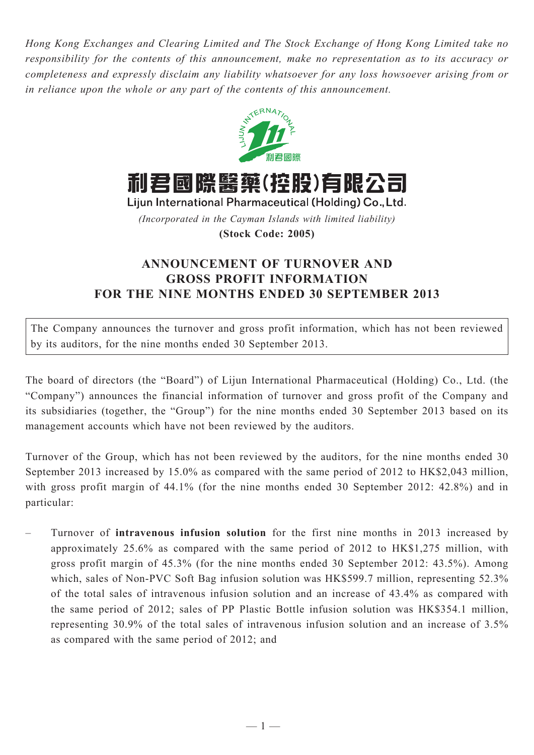*Hong Kong Exchanges and Clearing Limited and The Stock Exchange of Hong Kong Limited take no responsibility for the contents of this announcement, make no representation as to its accuracy or completeness and expressly disclaim any liability whatsoever for any loss howsoever arising from or in reliance upon the whole or any part of the contents of this announcement.*



利君國際醫藥(控股)有限公司

Lijun International Pharmaceutical (Holding) Co., Ltd. *(Incorporated in the Cayman Islands with limited liability)*

**(Stock Code: 2005)**

## **ANNOUNCEMENT OF TURNOVER AND GROSS PROFIT INFORMATION FOR THE nine MONTHS ENDED 30 September 2013**

The Company announces the turnover and gross profit information, which has not been reviewed by its auditors, for the nine months ended 30 September 2013.

The board of directors (the "Board") of Lijun International Pharmaceutical (Holding) Co., Ltd. (the "Company") announces the financial information of turnover and gross profit of the Company and its subsidiaries (together, the "Group") for the nine months ended 30 September 2013 based on its management accounts which have not been reviewed by the auditors.

Turnover of the Group, which has not been reviewed by the auditors, for the nine months ended 30 September 2013 increased by 15.0% as compared with the same period of 2012 to HK\$2,043 million, with gross profit margin of 44.1% (for the nine months ended 30 September 2012: 42.8%) and in particular:

– Turnover of **intravenous infusion solution** for the first nine months in 2013 increased by approximately 25.6% as compared with the same period of 2012 to HK\$1,275 million, with gross profit margin of 45.3% (for the nine months ended 30 September 2012: 43.5%). Among which, sales of Non-PVC Soft Bag infusion solution was HK\$599.7 million, representing 52.3% of the total sales of intravenous infusion solution and an increase of 43.4% as compared with the same period of 2012; sales of PP Plastic Bottle infusion solution was HK\$354.1 million, representing 30.9% of the total sales of intravenous infusion solution and an increase of 3.5% as compared with the same period of 2012; and